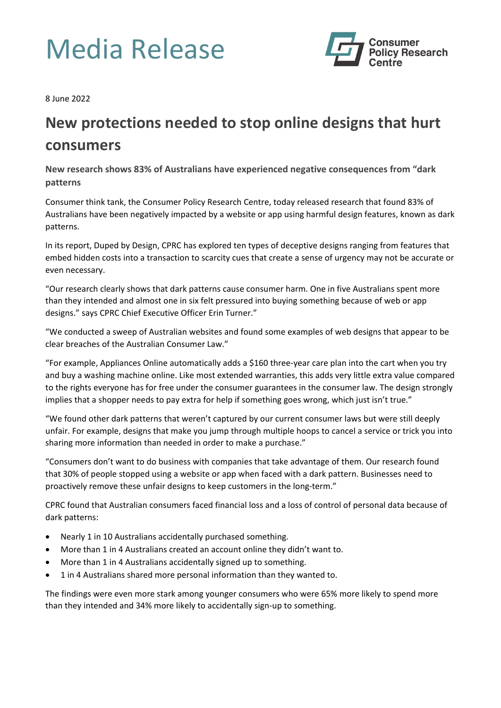## Media Release



8 June 2022

## **New protections needed to stop online designs that hurt consumers**

**New research shows 83% of Australians have experienced negative consequences from "dark patterns**

Consumer think tank, the Consumer Policy Research Centre, today released research that found 83% of Australians have been negatively impacted by a website or app using harmful design features, known as dark patterns.

In its report, Duped by Design, CPRC has explored ten types of deceptive designs ranging from features that embed hidden costs into a transaction to scarcity cues that create a sense of urgency may not be accurate or even necessary.

"Our research clearly shows that dark patterns cause consumer harm. One in five Australians spent more than they intended and almost one in six felt pressured into buying something because of web or app designs." says CPRC Chief Executive Officer Erin Turner."

"We conducted a sweep of Australian websites and found some examples of web designs that appear to be clear breaches of the Australian Consumer Law."

"For example, Appliances Online automatically adds a \$160 three-year care plan into the cart when you try and buy a washing machine online. Like most extended warranties, this adds very little extra value compared to the rights everyone has for free under the consumer guarantees in the consumer law. The design strongly implies that a shopper needs to pay extra for help if something goes wrong, which just isn't true."

"We found other dark patterns that weren't captured by our current consumer laws but were still deeply unfair. For example, designs that make you jump through multiple hoops to cancel a service or trick you into sharing more information than needed in order to make a purchase."

"Consumers don't want to do business with companies that take advantage of them. Our research found that 30% of people stopped using a website or app when faced with a dark pattern. Businesses need to proactively remove these unfair designs to keep customers in the long-term."

CPRC found that Australian consumers faced financial loss and a loss of control of personal data because of dark patterns:

- Nearly 1 in 10 Australians accidentally purchased something.
- More than 1 in 4 Australians created an account online they didn't want to.
- More than 1 in 4 Australians accidentally signed up to something.
- 1 in 4 Australians shared more personal information than they wanted to.

The findings were even more stark among younger consumers who were 65% more likely to spend more than they intended and 34% more likely to accidentally sign-up to something.